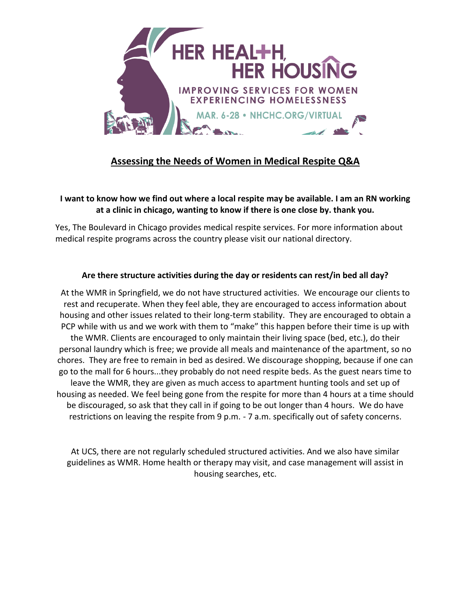

# **Assessing the Needs of Women in Medical Respite Q&A**

#### **I want to know how we find out where a local respite may be available. I am an RN working at a clinic in chicago, wanting to know if there is one close by. thank you.**

Yes, The Boulevard in Chicago provides medical respite services. For more information about medical respite programs across the country please visit our national directory.

### **Are there structure activities during the day or residents can rest/in bed all day?**

At the WMR in Springfield, we do not have structured activities. We encourage our clients to rest and recuperate. When they feel able, they are encouraged to access information about housing and other issues related to their long-term stability. They are encouraged to obtain a PCP while with us and we work with them to "make" this happen before their time is up with the WMR. Clients are encouraged to only maintain their living space (bed, etc.), do their personal laundry which is free; we provide all meals and maintenance of the apartment, so no chores. They are free to remain in bed as desired. We discourage shopping, because if one can go to the mall for 6 hours...they probably do not need respite beds. As the guest nears time to leave the WMR, they are given as much access to apartment hunting tools and set up of housing as needed. We feel being gone from the respite for more than 4 hours at a time should be discouraged, so ask that they call in if going to be out longer than 4 hours. We do have restrictions on leaving the respite from 9 p.m. - 7 a.m. specifically out of safety concerns.

At UCS, there are not regularly scheduled structured activities. And we also have similar guidelines as WMR. Home health or therapy may visit, and case management will assist in housing searches, etc.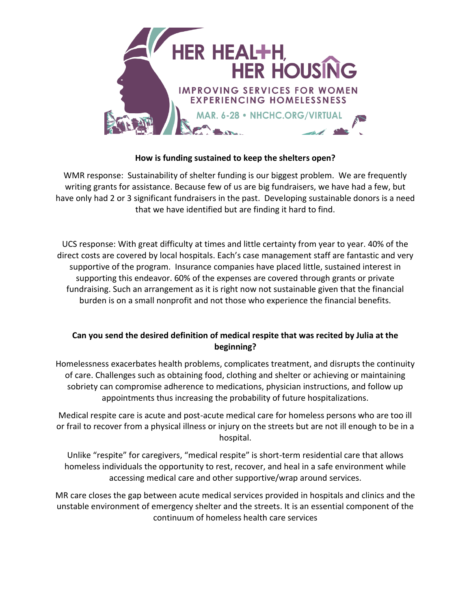

### **How is funding sustained to keep the shelters open?**

WMR response: Sustainability of shelter funding is our biggest problem. We are frequently writing grants for assistance. Because few of us are big fundraisers, we have had a few, but have only had 2 or 3 significant fundraisers in the past. Developing sustainable donors is a need that we have identified but are finding it hard to find.

UCS response: With great difficulty at times and little certainty from year to year. 40% of the direct costs are covered by local hospitals. Each's case management staff are fantastic and very supportive of the program. Insurance companies have placed little, sustained interest in supporting this endeavor. 60% of the expenses are covered through grants or private fundraising. Such an arrangement as it is right now not sustainable given that the financial burden is on a small nonprofit and not those who experience the financial benefits.

### **Can you send the desired definition of medical respite that was recited by Julia at the beginning?**

Homelessness exacerbates health problems, complicates treatment, and disrupts the continuity of care. Challenges such as obtaining food, clothing and shelter or achieving or maintaining sobriety can compromise adherence to medications, physician instructions, and follow up appointments thus increasing the probability of future hospitalizations.

Medical respite care is acute and post-acute medical care for homeless persons who are too ill or frail to recover from a physical illness or injury on the streets but are not ill enough to be in a hospital.

Unlike "respite" for caregivers, "medical respite" is short-term residential care that allows homeless individuals the opportunity to rest, recover, and heal in a safe environment while accessing medical care and other supportive/wrap around services.

MR care closes the gap between acute medical services provided in hospitals and clinics and the unstable environment of emergency shelter and the streets. It is an essential component of the continuum of homeless health care services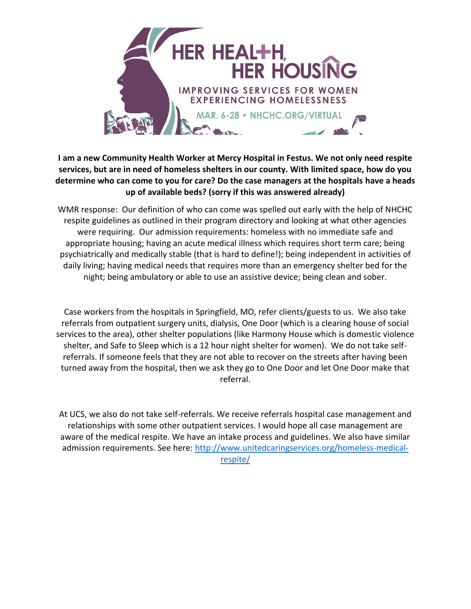

## **I am a new Community Health Worker at Mercy Hospital in Festus. We not only need respite services, but are in need of homeless shelters in our county. With limited space, how do you determine who can come to you for care? Do the case managers at the hospitals have a heads up of available beds? (sorry if this was answered already)**

WMR response: Our definition of who can come was spelled out early with the help of NHCHC respite guidelines as outlined in their program directory and looking at what other agencies were requiring. Our admission requirements: homeless with no immediate safe and appropriate housing; having an acute medical illness which requires short term care; being psychiatrically and medically stable (that is hard to define!); being independent in activities of daily living; having medical needs that requires more than an emergency shelter bed for the night; being ambulatory or able to use an assistive device; being clean and sober.

Case workers from the hospitals in Springfield, MO, refer clients/guests to us. We also take referrals from outpatient surgery units, dialysis, One Door (which is a clearing house of social services to the area), other shelter populations (like Harmony House which is domestic violence shelter, and Safe to Sleep which is a 12 hour night shelter for women). We do not take selfreferrals. If someone feels that they are not able to recover on the streets after having been turned away from the hospital, then we ask they go to One Door and let One Door make that referral.

At UCS, we also do not take self-referrals. We receive referrals hospital case management and relationships with some other outpatient services. I would hope all case management are aware of the medical respite. We have an intake process and guidelines. We also have similar admission requirements. See here: [http://www.unitedcaringservices.org/homeless-medical](http://www.unitedcaringservices.org/homeless-medical-respite/)[respite/](http://www.unitedcaringservices.org/homeless-medical-respite/)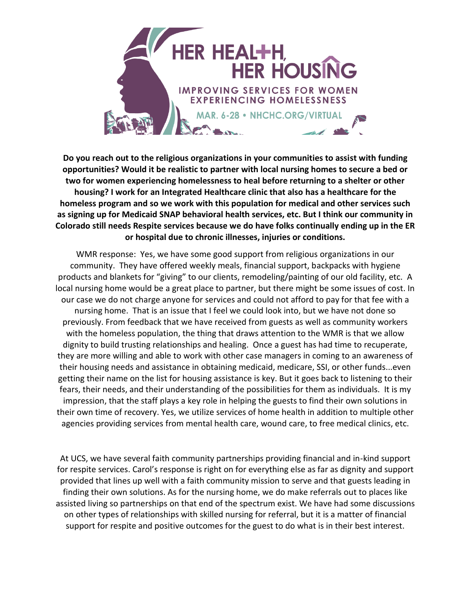

**Do you reach out to the religious organizations in your communities to assist with funding opportunities? Would it be realistic to partner with local nursing homes to secure a bed or two for women experiencing homelessness to heal before returning to a shelter or other housing? I work for an Integrated Healthcare clinic that also has a healthcare for the homeless program and so we work with this population for medical and other services such as signing up for Medicaid SNAP behavioral health services, etc. But I think our community in Colorado still needs Respite services because we do have folks continually ending up in the ER or hospital due to chronic illnesses, injuries or conditions.**

WMR response: Yes, we have some good support from religious organizations in our community. They have offered weekly meals, financial support, backpacks with hygiene products and blankets for "giving" to our clients, remodeling/painting of our old facility, etc. A local nursing home would be a great place to partner, but there might be some issues of cost. In our case we do not charge anyone for services and could not afford to pay for that fee with a nursing home. That is an issue that I feel we could look into, but we have not done so previously. From feedback that we have received from guests as well as community workers with the homeless population, the thing that draws attention to the WMR is that we allow dignity to build trusting relationships and healing. Once a guest has had time to recuperate, they are more willing and able to work with other case managers in coming to an awareness of their housing needs and assistance in obtaining medicaid, medicare, SSI, or other funds...even getting their name on the list for housing assistance is key. But it goes back to listening to their fears, their needs, and their understanding of the possibilities for them as individuals. It is my impression, that the staff plays a key role in helping the guests to find their own solutions in their own time of recovery. Yes, we utilize services of home health in addition to multiple other agencies providing services from mental health care, wound care, to free medical clinics, etc.

At UCS, we have several faith community partnerships providing financial and in-kind support for respite services. Carol's response is right on for everything else as far as dignity and support provided that lines up well with a faith community mission to serve and that guests leading in finding their own solutions. As for the nursing home, we do make referrals out to places like assisted living so partnerships on that end of the spectrum exist. We have had some discussions on other types of relationships with skilled nursing for referral, but it is a matter of financial support for respite and positive outcomes for the guest to do what is in their best interest.